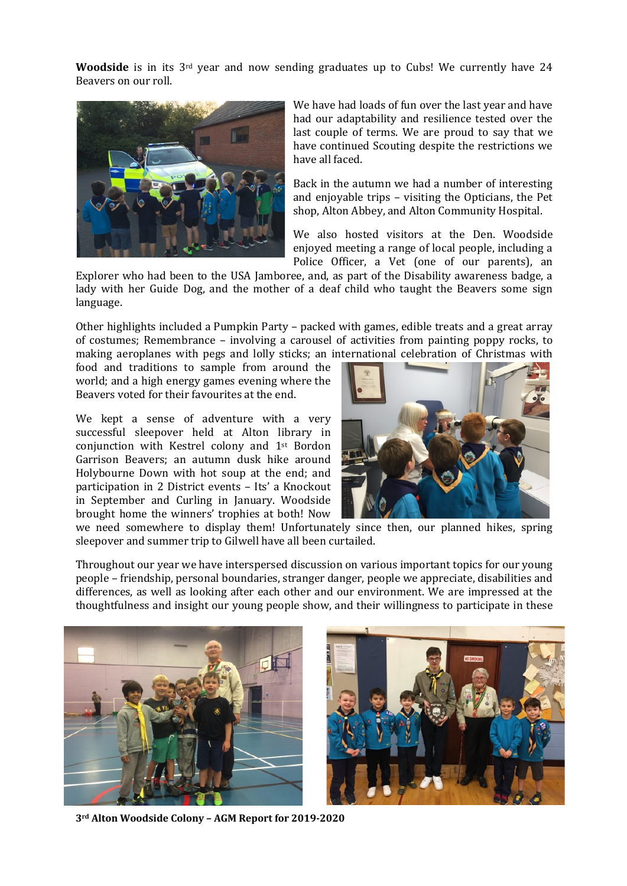**Woodside** is in its 3<sup>rd</sup> year and now sending graduates up to Cubs! We currently have 24 Beavers on our roll.



We have had loads of fun over the last year and have had our adaptability and resilience tested over the last couple of terms. We are proud to say that we have continued Scouting despite the restrictions we have all faced.

Back in the autumn we had a number of interesting and enjoyable trips  $-$  visiting the Opticians, the Pet shop, Alton Abbey, and Alton Community Hospital.

We also hosted visitors at the Den. Woodside enjoyed meeting a range of local people, including a Police Officer, a Vet (one of our parents), an

Explorer who had been to the USA Jamboree, and, as part of the Disability awareness badge, a lady with her Guide Dog, and the mother of a deaf child who taught the Beavers some sign language.

Other highlights included a Pumpkin Party – packed with games, edible treats and a great array of costumes; Remembrance  $-$  involving a carousel of activities from painting poppy rocks, to making aeroplanes with pegs and lolly sticks; an international celebration of Christmas with

food and traditions to sample from around the world; and a high energy games evening where the Beavers voted for their favourites at the end.

We kept a sense of adventure with a very successful sleepover held at Alton library in conjunction with Kestrel colony and 1st Bordon Garrison Beavers; an autumn dusk hike around Holybourne Down with hot soup at the end; and participation in 2 District events - Its' a Knockout in September and Curling in January. Woodside brought home the winners' trophies at both! Now



we need somewhere to display them! Unfortunately since then, our planned hikes, spring sleepover and summer trip to Gilwell have all been curtailed.

Throughout our year we have interspersed discussion on various important topics for our young people – friendship, personal boundaries, stranger danger, people we appreciate, disabilities and differences, as well as looking after each other and our environment. We are impressed at the thoughtfulness and insight our young people show, and their willingness to participate in these





**3rd Alton Woodside Colony – AGM Report for 2019-2020**